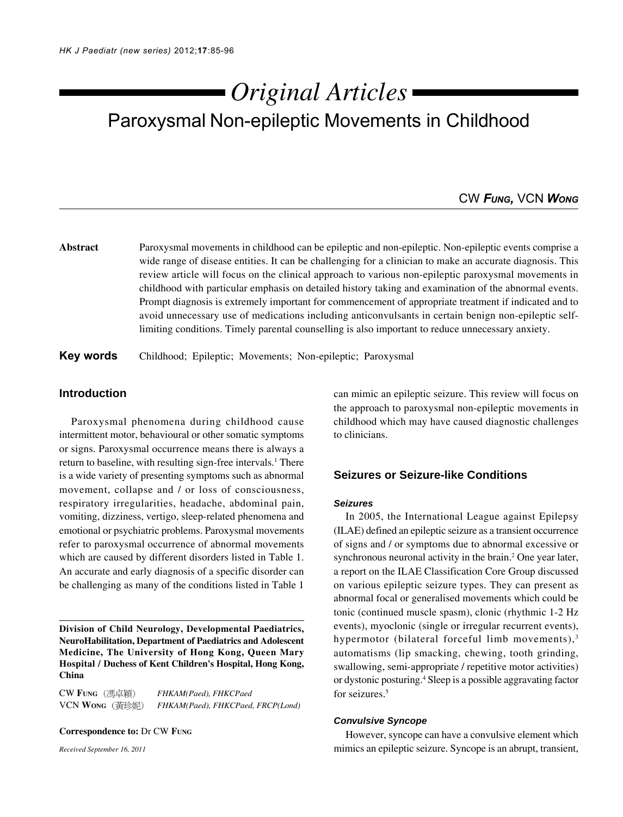# Paroxysmal Non-epileptic Movements in Childhood *Original Articles*

# CW *FUNG,* VCN *WONG*

**Abstract** Paroxysmal movements in childhood can be epileptic and non-epileptic. Non-epileptic events comprise a wide range of disease entities. It can be challenging for a clinician to make an accurate diagnosis. This review article will focus on the clinical approach to various non-epileptic paroxysmal movements in childhood with particular emphasis on detailed history taking and examination of the abnormal events. Prompt diagnosis is extremely important for commencement of appropriate treatment if indicated and to avoid unnecessary use of medications including anticonvulsants in certain benign non-epileptic selflimiting conditions. Timely parental counselling is also important to reduce unnecessary anxiety.

**Key words** Childhood; Epileptic; Movements; Non-epileptic; Paroxysmal

# **Introduction**

Paroxysmal phenomena during childhood cause intermittent motor, behavioural or other somatic symptoms or signs. Paroxysmal occurrence means there is always a return to baseline, with resulting sign-free intervals.<sup>1</sup> There is a wide variety of presenting symptoms such as abnormal movement, collapse and / or loss of consciousness, respiratory irregularities, headache, abdominal pain, vomiting, dizziness, vertigo, sleep-related phenomena and emotional or psychiatric problems. Paroxysmal movements refer to paroxysmal occurrence of abnormal movements which are caused by different disorders listed in Table 1. An accurate and early diagnosis of a specific disorder can be challenging as many of the conditions listed in Table 1

**Division of Child Neurology, Developmental Paediatrics, NeuroHabilitation, Department of Paediatrics and Adolescent Medicine, The University of Hong Kong, Queen Mary Hospital / Duchess of Kent Children's Hospital, Hong Kong, China**

CW **FUNG** *FHKAM(Paed), FHKCPaed* VCN **WONG** *FHKAM(Paed), FHKCPaed, FRCP(Lond)*

**Correspondence to:** Dr CW **FUNG**

*Received September 16, 2011*

can mimic an epileptic seizure. This review will focus on the approach to paroxysmal non-epileptic movements in childhood which may have caused diagnostic challenges to clinicians.

# **Seizures or Seizure-like Conditions**

#### *Seizures*

In 2005, the International League against Epilepsy (ILAE) defined an epileptic seizure as a transient occurrence of signs and / or symptoms due to abnormal excessive or synchronous neuronal activity in the brain.<sup>2</sup> One year later, a report on the ILAE Classification Core Group discussed on various epileptic seizure types. They can present as abnormal focal or generalised movements which could be tonic (continued muscle spasm), clonic (rhythmic 1-2 Hz events), myoclonic (single or irregular recurrent events), hypermotor (bilateral forceful limb movements), $3$ automatisms (lip smacking, chewing, tooth grinding, swallowing, semi-appropriate / repetitive motor activities) or dystonic posturing.4 Sleep is a possible aggravating factor for seizures.<sup>5</sup>

# *Convulsive Syncope*

However, syncope can have a convulsive element which mimics an epileptic seizure. Syncope is an abrupt, transient,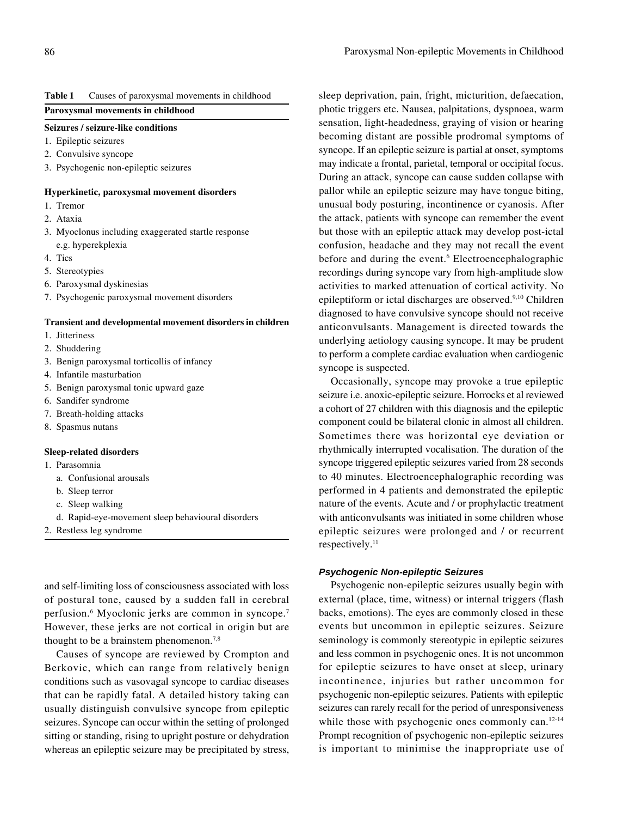# **Table 1** Causes of paroxysmal movements in childhood

# **Paroxysmal movements in childhood**

### **Seizures / seizure-like conditions**

- 1. Epileptic seizures
- 2. Convulsive syncope
- 3. Psychogenic non-epileptic seizures

### **Hyperkinetic, paroxysmal movement disorders**

- 1. Tremor
- 2. Ataxia
- 3. Myoclonus including exaggerated startle response e.g. hyperekplexia
- 4. Tics
- 5. Stereotypies
- 6. Paroxysmal dyskinesias
- 7. Psychogenic paroxysmal movement disorders

# **Transient and developmental movement disorders in children**

- 1. Jitteriness
- 2. Shuddering
- 3. Benign paroxysmal torticollis of infancy
- 4. Infantile masturbation
- 5. Benign paroxysmal tonic upward gaze
- 6. Sandifer syndrome
- 7. Breath-holding attacks
- 8. Spasmus nutans

#### **Sleep-related disorders**

- 1. Parasomnia
	- a. Confusional arousals
	- b. Sleep terror
	- c. Sleep walking
	- d. Rapid-eye-movement sleep behavioural disorders
- 2. Restless leg syndrome

and self-limiting loss of consciousness associated with loss of postural tone, caused by a sudden fall in cerebral perfusion.6 Myoclonic jerks are common in syncope.7 However, these jerks are not cortical in origin but are thought to be a brainstem phenomenon.<sup>7,8</sup>

Causes of syncope are reviewed by Crompton and Berkovic, which can range from relatively benign conditions such as vasovagal syncope to cardiac diseases that can be rapidly fatal. A detailed history taking can usually distinguish convulsive syncope from epileptic seizures. Syncope can occur within the setting of prolonged sitting or standing, rising to upright posture or dehydration whereas an epileptic seizure may be precipitated by stress,

sleep deprivation, pain, fright, micturition, defaecation, photic triggers etc. Nausea, palpitations, dyspnoea, warm sensation, light-headedness, graying of vision or hearing becoming distant are possible prodromal symptoms of syncope. If an epileptic seizure is partial at onset, symptoms may indicate a frontal, parietal, temporal or occipital focus. During an attack, syncope can cause sudden collapse with pallor while an epileptic seizure may have tongue biting, unusual body posturing, incontinence or cyanosis. After the attack, patients with syncope can remember the event but those with an epileptic attack may develop post-ictal confusion, headache and they may not recall the event before and during the event.<sup>6</sup> Electroencephalographic recordings during syncope vary from high-amplitude slow activities to marked attenuation of cortical activity. No epileptiform or ictal discharges are observed.<sup>9,10</sup> Children diagnosed to have convulsive syncope should not receive anticonvulsants. Management is directed towards the underlying aetiology causing syncope. It may be prudent to perform a complete cardiac evaluation when cardiogenic syncope is suspected.

Occasionally, syncope may provoke a true epileptic seizure i.e. anoxic-epileptic seizure. Horrocks et al reviewed a cohort of 27 children with this diagnosis and the epileptic component could be bilateral clonic in almost all children. Sometimes there was horizontal eye deviation or rhythmically interrupted vocalisation. The duration of the syncope triggered epileptic seizures varied from 28 seconds to 40 minutes. Electroencephalographic recording was performed in 4 patients and demonstrated the epileptic nature of the events. Acute and / or prophylactic treatment with anticonvulsants was initiated in some children whose epileptic seizures were prolonged and / or recurrent respectively.<sup>11</sup>

# *Psychogenic Non-epileptic Seizures*

Psychogenic non-epileptic seizures usually begin with external (place, time, witness) or internal triggers (flash backs, emotions). The eyes are commonly closed in these events but uncommon in epileptic seizures. Seizure seminology is commonly stereotypic in epileptic seizures and less common in psychogenic ones. It is not uncommon for epileptic seizures to have onset at sleep, urinary incontinence, injuries but rather uncommon for psychogenic non-epileptic seizures. Patients with epileptic seizures can rarely recall for the period of unresponsiveness while those with psychogenic ones commonly can.<sup>12-14</sup> Prompt recognition of psychogenic non-epileptic seizures is important to minimise the inappropriate use of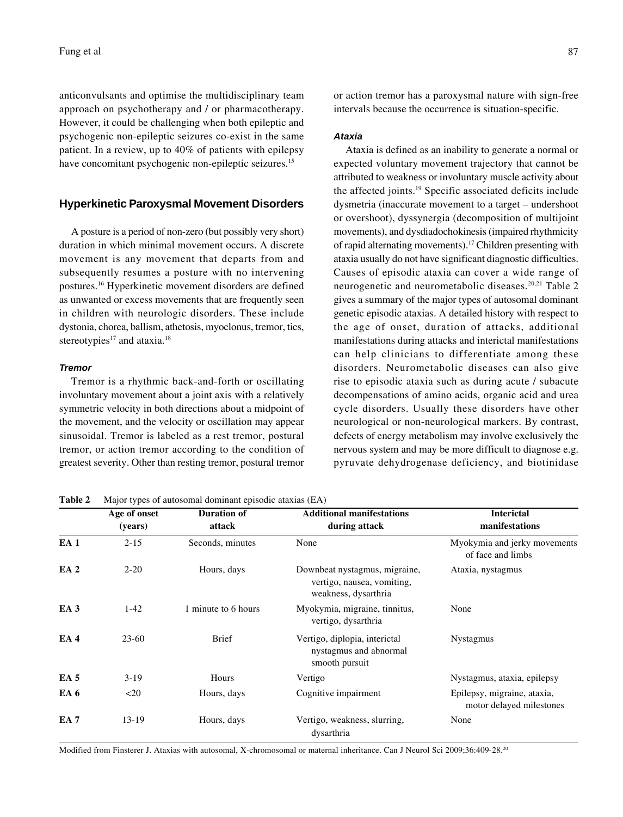anticonvulsants and optimise the multidisciplinary team approach on psychotherapy and / or pharmacotherapy. However, it could be challenging when both epileptic and psychogenic non-epileptic seizures co-exist in the same patient. In a review, up to 40% of patients with epilepsy have concomitant psychogenic non-epileptic seizures.<sup>15</sup>

# **Hyperkinetic Paroxysmal Movement Disorders**

A posture is a period of non-zero (but possibly very short) duration in which minimal movement occurs. A discrete movement is any movement that departs from and subsequently resumes a posture with no intervening postures.16 Hyperkinetic movement disorders are defined as unwanted or excess movements that are frequently seen in children with neurologic disorders. These include dystonia, chorea, ballism, athetosis, myoclonus, tremor, tics, stereotypies<sup>17</sup> and ataxia.<sup>18</sup>

### *Tremor*

Tremor is a rhythmic back-and-forth or oscillating involuntary movement about a joint axis with a relatively symmetric velocity in both directions about a midpoint of the movement, and the velocity or oscillation may appear sinusoidal. Tremor is labeled as a rest tremor, postural tremor, or action tremor according to the condition of greatest severity. Other than resting tremor, postural tremor

**Table 2** Major types of autosomal dominant episodic ataxias (EA)

Modified from Finsterer J. Ataxias with autosomal, X-chromosomal or maternal inheritance. Can J Neurol Sci 2009;36:409-28.20

or action tremor has a paroxysmal nature with sign-free intervals because the occurrence is situation-specific.

# *Ataxia*

Ataxia is defined as an inability to generate a normal or expected voluntary movement trajectory that cannot be attributed to weakness or involuntary muscle activity about the affected joints.19 Specific associated deficits include dysmetria (inaccurate movement to a target – undershoot or overshoot), dyssynergia (decomposition of multijoint movements), and dysdiadochokinesis (impaired rhythmicity of rapid alternating movements).17 Children presenting with ataxia usually do not have significant diagnostic difficulties. Causes of episodic ataxia can cover a wide range of neurogenetic and neurometabolic diseases.20,21 Table 2 gives a summary of the major types of autosomal dominant genetic episodic ataxias. A detailed history with respect to the age of onset, duration of attacks, additional manifestations during attacks and interictal manifestations can help clinicians to differentiate among these disorders. Neurometabolic diseases can also give rise to episodic ataxia such as during acute / subacute decompensations of amino acids, organic acid and urea cycle disorders. Usually these disorders have other neurological or non-neurological markers. By contrast, defects of energy metabolism may involve exclusively the nervous system and may be more difficult to diagnose e.g. pyruvate dehydrogenase deficiency, and biotinidase

|                 | Age of onset | <b>Duration of</b>  | <b>Additional manifestations</b>                                                    | <b>Interictal</b>                                       |
|-----------------|--------------|---------------------|-------------------------------------------------------------------------------------|---------------------------------------------------------|
|                 | (years)      | attack              | during attack                                                                       | manifestations                                          |
| EA <sub>1</sub> | $2 - 15$     | Seconds, minutes    | None                                                                                | Myokymia and jerky movements<br>of face and limbs       |
| EA <sub>2</sub> | $2 - 20$     | Hours, days         | Downbeat nystagmus, migraine,<br>vertigo, nausea, vomiting,<br>weakness, dysarthria | Ataxia, nystagmus                                       |
| EA <sub>3</sub> | $1-42$       | 1 minute to 6 hours | Myokymia, migraine, tinnitus,<br>vertigo, dysarthria                                | None                                                    |
| EA4             | $23 - 60$    | <b>Brief</b>        | Vertigo, diplopia, interictal<br>nystagmus and abnormal<br>smooth pursuit           | <b>Nystagmus</b>                                        |
| EA <sub>5</sub> | $3-19$       | Hours               | Vertigo                                                                             | Nystagmus, ataxia, epilepsy                             |
| EA 6            | $20$         | Hours, days         | Cognitive impairment                                                                | Epilepsy, migraine, ataxia,<br>motor delayed milestones |
| EA <sub>7</sub> | $13-19$      | Hours, days         | Vertigo, weakness, slurring,<br>dysarthria                                          | None                                                    |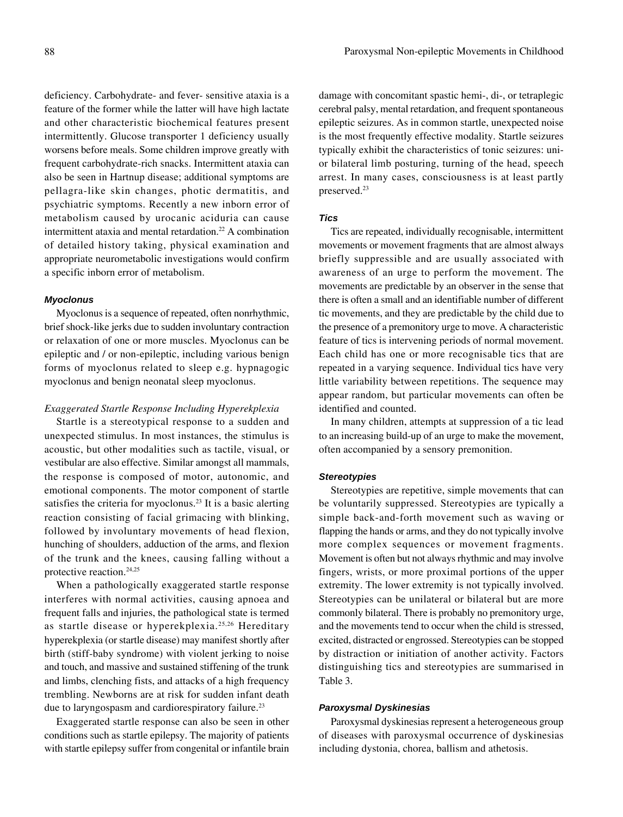deficiency. Carbohydrate- and fever- sensitive ataxia is a feature of the former while the latter will have high lactate and other characteristic biochemical features present intermittently. Glucose transporter 1 deficiency usually worsens before meals. Some children improve greatly with frequent carbohydrate-rich snacks. Intermittent ataxia can also be seen in Hartnup disease; additional symptoms are pellagra-like skin changes, photic dermatitis, and psychiatric symptoms. Recently a new inborn error of metabolism caused by urocanic aciduria can cause intermittent ataxia and mental retardation.<sup>22</sup> A combination of detailed history taking, physical examination and appropriate neurometabolic investigations would confirm a specific inborn error of metabolism.

### *Myoclonus*

Myoclonus is a sequence of repeated, often nonrhythmic, brief shock-like jerks due to sudden involuntary contraction or relaxation of one or more muscles. Myoclonus can be epileptic and / or non-epileptic, including various benign forms of myoclonus related to sleep e.g. hypnagogic myoclonus and benign neonatal sleep myoclonus.

### *Exaggerated Startle Response Including Hyperekplexia*

Startle is a stereotypical response to a sudden and unexpected stimulus. In most instances, the stimulus is acoustic, but other modalities such as tactile, visual, or vestibular are also effective. Similar amongst all mammals, the response is composed of motor, autonomic, and emotional components. The motor component of startle satisfies the criteria for myoclonus.<sup>23</sup> It is a basic alerting reaction consisting of facial grimacing with blinking, followed by involuntary movements of head flexion, hunching of shoulders, adduction of the arms, and flexion of the trunk and the knees, causing falling without a protective reaction.<sup>24,25</sup>

When a pathologically exaggerated startle response interferes with normal activities, causing apnoea and frequent falls and injuries, the pathological state is termed as startle disease or hyperekplexia.25,26 Hereditary hyperekplexia (or startle disease) may manifest shortly after birth (stiff-baby syndrome) with violent jerking to noise and touch, and massive and sustained stiffening of the trunk and limbs, clenching fists, and attacks of a high frequency trembling. Newborns are at risk for sudden infant death due to laryngospasm and cardiorespiratory failure.23

Exaggerated startle response can also be seen in other conditions such as startle epilepsy. The majority of patients with startle epilepsy suffer from congenital or infantile brain

damage with concomitant spastic hemi-, di-, or tetraplegic cerebral palsy, mental retardation, and frequent spontaneous epileptic seizures. As in common startle, unexpected noise is the most frequently effective modality. Startle seizures typically exhibit the characteristics of tonic seizures: unior bilateral limb posturing, turning of the head, speech arrest. In many cases, consciousness is at least partly preserved.23

### *Tics*

Tics are repeated, individually recognisable, intermittent movements or movement fragments that are almost always briefly suppressible and are usually associated with awareness of an urge to perform the movement. The movements are predictable by an observer in the sense that there is often a small and an identifiable number of different tic movements, and they are predictable by the child due to the presence of a premonitory urge to move. A characteristic feature of tics is intervening periods of normal movement. Each child has one or more recognisable tics that are repeated in a varying sequence. Individual tics have very little variability between repetitions. The sequence may appear random, but particular movements can often be identified and counted.

In many children, attempts at suppression of a tic lead to an increasing build-up of an urge to make the movement, often accompanied by a sensory premonition.

### *Stereotypies*

Stereotypies are repetitive, simple movements that can be voluntarily suppressed. Stereotypies are typically a simple back-and-forth movement such as waving or flapping the hands or arms, and they do not typically involve more complex sequences or movement fragments. Movement is often but not always rhythmic and may involve fingers, wrists, or more proximal portions of the upper extremity. The lower extremity is not typically involved. Stereotypies can be unilateral or bilateral but are more commonly bilateral. There is probably no premonitory urge, and the movements tend to occur when the child is stressed, excited, distracted or engrossed. Stereotypies can be stopped by distraction or initiation of another activity. Factors distinguishing tics and stereotypies are summarised in Table 3.

#### *Paroxysmal Dyskinesias*

Paroxysmal dyskinesias represent a heterogeneous group of diseases with paroxysmal occurrence of dyskinesias including dystonia, chorea, ballism and athetosis.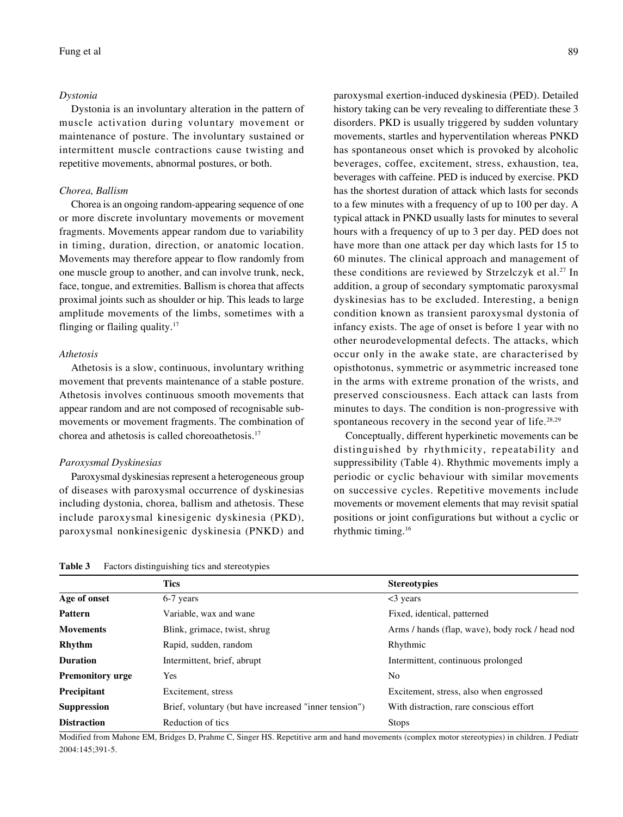#### *Dystonia*

Dystonia is an involuntary alteration in the pattern of muscle activation during voluntary movement or maintenance of posture. The involuntary sustained or intermittent muscle contractions cause twisting and repetitive movements, abnormal postures, or both.

### *Chorea, Ballism*

Chorea is an ongoing random-appearing sequence of one or more discrete involuntary movements or movement fragments. Movements appear random due to variability in timing, duration, direction, or anatomic location. Movements may therefore appear to flow randomly from one muscle group to another, and can involve trunk, neck, face, tongue, and extremities. Ballism is chorea that affects proximal joints such as shoulder or hip. This leads to large amplitude movements of the limbs, sometimes with a flinging or flailing quality.17

### *Athetosis*

Athetosis is a slow, continuous, involuntary writhing movement that prevents maintenance of a stable posture. Athetosis involves continuous smooth movements that appear random and are not composed of recognisable submovements or movement fragments. The combination of chorea and athetosis is called choreoathetosis.17

#### *Paroxysmal Dyskinesias*

Paroxysmal dyskinesias represent a heterogeneous group of diseases with paroxysmal occurrence of dyskinesias including dystonia, chorea, ballism and athetosis. These include paroxysmal kinesigenic dyskinesia (PKD), paroxysmal nonkinesigenic dyskinesia (PNKD) and

paroxysmal exertion-induced dyskinesia (PED). Detailed history taking can be very revealing to differentiate these 3 disorders. PKD is usually triggered by sudden voluntary movements, startles and hyperventilation whereas PNKD has spontaneous onset which is provoked by alcoholic beverages, coffee, excitement, stress, exhaustion, tea, beverages with caffeine. PED is induced by exercise. PKD has the shortest duration of attack which lasts for seconds to a few minutes with a frequency of up to 100 per day. A typical attack in PNKD usually lasts for minutes to several hours with a frequency of up to 3 per day. PED does not have more than one attack per day which lasts for 15 to 60 minutes. The clinical approach and management of these conditions are reviewed by Strzelczyk et al.27 In addition, a group of secondary symptomatic paroxysmal dyskinesias has to be excluded. Interesting, a benign condition known as transient paroxysmal dystonia of infancy exists. The age of onset is before 1 year with no other neurodevelopmental defects. The attacks, which

occur only in the awake state, are characterised by opisthotonus, symmetric or asymmetric increased tone in the arms with extreme pronation of the wrists, and preserved consciousness. Each attack can lasts from minutes to days. The condition is non-progressive with spontaneous recovery in the second year of life.<sup>28,29</sup>

Conceptually, different hyperkinetic movements can be distinguished by rhythmicity, repeatability and suppressibility (Table 4). Rhythmic movements imply a periodic or cyclic behaviour with similar movements on successive cycles. Repetitive movements include movements or movement elements that may revisit spatial positions or joint configurations but without a cyclic or rhythmic timing.16

# **Table 3** Factors distinguishing tics and stereotypies

|                         | <b>Tics</b>                                           | <b>Stereotypies</b>                             |
|-------------------------|-------------------------------------------------------|-------------------------------------------------|
| Age of onset            | 6-7 years                                             | $<$ 3 years                                     |
| <b>Pattern</b>          | Variable, wax and wane                                | Fixed, identical, patterned                     |
| <b>Movements</b>        | Blink, grimace, twist, shrug                          | Arms / hands (flap, wave), body rock / head nod |
| <b>Rhythm</b>           | Rapid, sudden, random                                 | Rhythmic                                        |
| <b>Duration</b>         | Intermittent, brief, abrupt                           | Intermittent, continuous prolonged              |
| <b>Premonitory urge</b> | <b>Yes</b>                                            | N <sub>0</sub>                                  |
| Precipitant             | Excitement, stress                                    | Excitement, stress, also when engrossed         |
| <b>Suppression</b>      | Brief, voluntary (but have increased "inner tension") | With distraction, rare conscious effort         |
| <b>Distraction</b>      | Reduction of tics                                     | <b>Stops</b>                                    |

Modified from Mahone EM, Bridges D, Prahme C, Singer HS. Repetitive arm and hand movements (complex motor stereotypies) in children. J Pediatr 2004:145;391-5.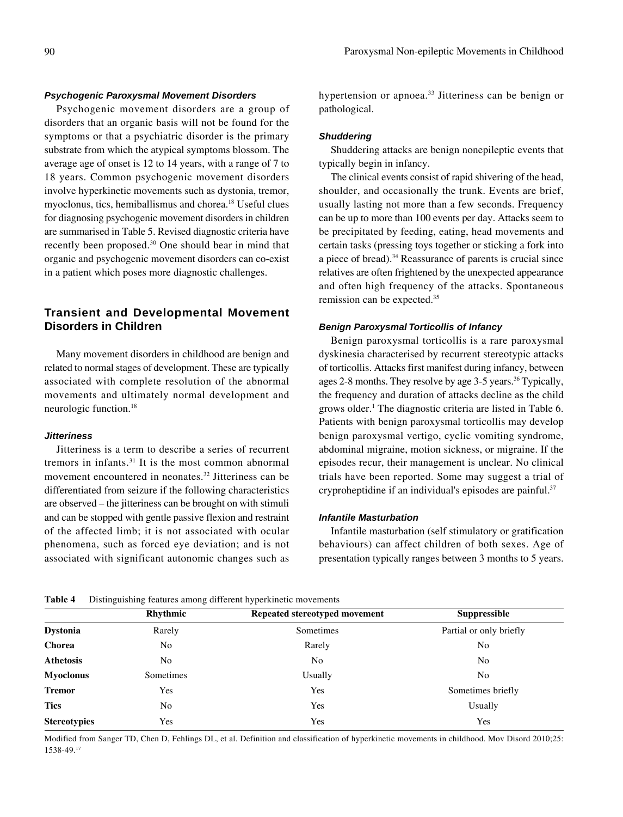# *Psychogenic Paroxysmal Movement Disorders*

Psychogenic movement disorders are a group of disorders that an organic basis will not be found for the symptoms or that a psychiatric disorder is the primary substrate from which the atypical symptoms blossom. The average age of onset is 12 to 14 years, with a range of 7 to 18 years. Common psychogenic movement disorders involve hyperkinetic movements such as dystonia, tremor, myoclonus, tics, hemiballismus and chorea.18 Useful clues for diagnosing psychogenic movement disorders in children are summarised in Table 5. Revised diagnostic criteria have recently been proposed.30 One should bear in mind that organic and psychogenic movement disorders can co-exist in a patient which poses more diagnostic challenges.

# **Transient and Developmental Movement Disorders in Children**

Many movement disorders in childhood are benign and related to normal stages of development. These are typically associated with complete resolution of the abnormal movements and ultimately normal development and neurologic function.18

# *Jitteriness*

Jitteriness is a term to describe a series of recurrent tremors in infants.31 It is the most common abnormal movement encountered in neonates.32 Jitteriness can be differentiated from seizure if the following characteristics are observed – the jitteriness can be brought on with stimuli and can be stopped with gentle passive flexion and restraint of the affected limb; it is not associated with ocular phenomena, such as forced eye deviation; and is not associated with significant autonomic changes such as

hypertension or apnoea.<sup>33</sup> Jitteriness can be benign or pathological.

#### *Shuddering*

Shuddering attacks are benign nonepileptic events that typically begin in infancy.

The clinical events consist of rapid shivering of the head, shoulder, and occasionally the trunk. Events are brief, usually lasting not more than a few seconds. Frequency can be up to more than 100 events per day. Attacks seem to be precipitated by feeding, eating, head movements and certain tasks (pressing toys together or sticking a fork into a piece of bread).34 Reassurance of parents is crucial since relatives are often frightened by the unexpected appearance and often high frequency of the attacks. Spontaneous remission can be expected.35

# *Benign Paroxysmal Torticollis of Infancy*

Benign paroxysmal torticollis is a rare paroxysmal dyskinesia characterised by recurrent stereotypic attacks of torticollis. Attacks first manifest during infancy, between ages 2-8 months. They resolve by age 3-5 years.<sup>36</sup> Typically, the frequency and duration of attacks decline as the child grows older.<sup>1</sup> The diagnostic criteria are listed in Table 6. Patients with benign paroxysmal torticollis may develop benign paroxysmal vertigo, cyclic vomiting syndrome, abdominal migraine, motion sickness, or migraine. If the episodes recur, their management is unclear. No clinical trials have been reported. Some may suggest a trial of cryproheptidine if an individual's episodes are painful.<sup>37</sup>

### *Infantile Masturbation*

Infantile masturbation (self stimulatory or gratification behaviours) can affect children of both sexes. Age of presentation typically ranges between 3 months to 5 years.

| Table 4 |  | Distinguishing features among different hyperkinetic movements |
|---------|--|----------------------------------------------------------------|
|         |  |                                                                |

|                     | Rhythmic       | Repeated stereotyped movement | <b>Suppressible</b>     |
|---------------------|----------------|-------------------------------|-------------------------|
| <b>Dystonia</b>     | Rarely         | Sometimes                     | Partial or only briefly |
| Chorea              | N <sub>0</sub> | Rarely                        | No                      |
| <b>Athetosis</b>    | N <sub>0</sub> | N <sub>0</sub>                | No                      |
| <b>Myoclonus</b>    | Sometimes      | Usually                       | No                      |
| <b>Tremor</b>       | Yes            | Yes                           | Sometimes briefly       |
| <b>Tics</b>         | No             | Yes                           | Usually                 |
| <b>Stereotypies</b> | Yes            | Yes                           | Yes                     |

Modified from Sanger TD, Chen D, Fehlings DL, et al. Definition and classification of hyperkinetic movements in childhood. Mov Disord 2010;25: 1538-49.17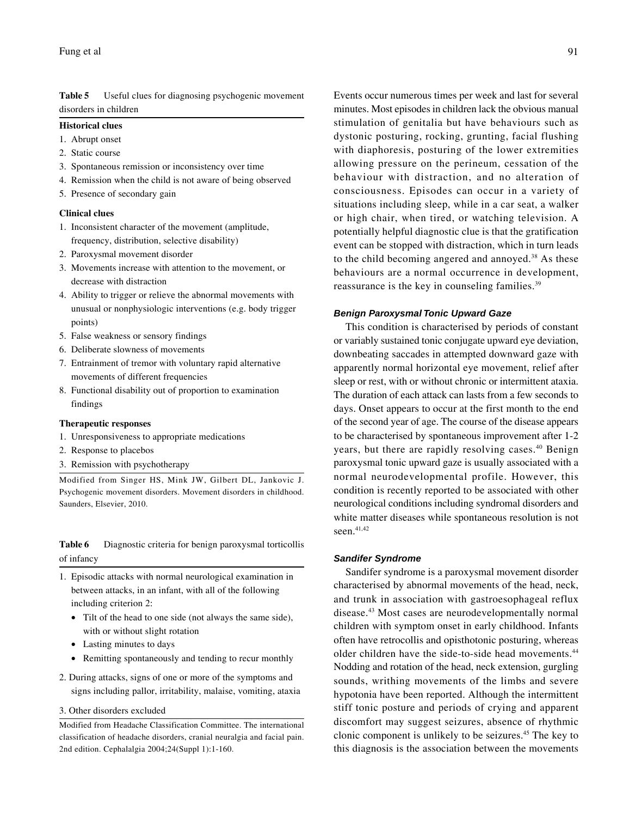**Table 5** Useful clues for diagnosing psychogenic movement disorders in children

### **Historical clues**

- 1. Abrupt onset
- 2. Static course
- 3. Spontaneous remission or inconsistency over time
- 4. Remission when the child is not aware of being observed
- 5. Presence of secondary gain

### **Clinical clues**

- 1. Inconsistent character of the movement (amplitude, frequency, distribution, selective disability)
- 2. Paroxysmal movement disorder
- 3. Movements increase with attention to the movement, or decrease with distraction
- 4. Ability to trigger or relieve the abnormal movements with unusual or nonphysiologic interventions (e.g. body trigger points)
- 5. False weakness or sensory findings
- 6. Deliberate slowness of movements
- 7. Entrainment of tremor with voluntary rapid alternative movements of different frequencies
- 8. Functional disability out of proportion to examination findings

#### **Therapeutic responses**

- 1. Unresponsiveness to appropriate medications
- 2. Response to placebos
- 3. Remission with psychotherapy

Modified from Singer HS, Mink JW, Gilbert DL, Jankovic J. Psychogenic movement disorders. Movement disorders in childhood. Saunders, Elsevier, 2010.

# **Table 6** Diagnostic criteria for benign paroxysmal torticollis of infancy

- 1. Episodic attacks with normal neurological examination in between attacks, in an infant, with all of the following including criterion 2:
	- Tilt of the head to one side (not always the same side), with or without slight rotation
	- Lasting minutes to days
	- Remitting spontaneously and tending to recur monthly
- 2. During attacks, signs of one or more of the symptoms and signs including pallor, irritability, malaise, vomiting, ataxia
- 3. Other disorders excluded

Modified from Headache Classification Committee. The international classification of headache disorders, cranial neuralgia and facial pain. 2nd edition. Cephalalgia 2004;24(Suppl 1):1-160.

Events occur numerous times per week and last for several minutes. Most episodes in children lack the obvious manual stimulation of genitalia but have behaviours such as dystonic posturing, rocking, grunting, facial flushing with diaphoresis, posturing of the lower extremities allowing pressure on the perineum, cessation of the behaviour with distraction, and no alteration of consciousness. Episodes can occur in a variety of situations including sleep, while in a car seat, a walker or high chair, when tired, or watching television. A potentially helpful diagnostic clue is that the gratification event can be stopped with distraction, which in turn leads to the child becoming angered and annoyed.38 As these behaviours are a normal occurrence in development, reassurance is the key in counseling families.<sup>39</sup>

### *Benign Paroxysmal Tonic Upward Gaze*

This condition is characterised by periods of constant or variably sustained tonic conjugate upward eye deviation, downbeating saccades in attempted downward gaze with apparently normal horizontal eye movement, relief after sleep or rest, with or without chronic or intermittent ataxia. The duration of each attack can lasts from a few seconds to days. Onset appears to occur at the first month to the end of the second year of age. The course of the disease appears to be characterised by spontaneous improvement after 1-2 years, but there are rapidly resolving cases.<sup>40</sup> Benign paroxysmal tonic upward gaze is usually associated with a normal neurodevelopmental profile. However, this condition is recently reported to be associated with other neurological conditions including syndromal disorders and white matter diseases while spontaneous resolution is not seen.<sup>41,42</sup>

### *Sandifer Syndrome*

Sandifer syndrome is a paroxysmal movement disorder characterised by abnormal movements of the head, neck, and trunk in association with gastroesophageal reflux disease.43 Most cases are neurodevelopmentally normal children with symptom onset in early childhood. Infants often have retrocollis and opisthotonic posturing, whereas older children have the side-to-side head movements.44 Nodding and rotation of the head, neck extension, gurgling sounds, writhing movements of the limbs and severe hypotonia have been reported. Although the intermittent stiff tonic posture and periods of crying and apparent discomfort may suggest seizures, absence of rhythmic clonic component is unlikely to be seizures.45 The key to this diagnosis is the association between the movements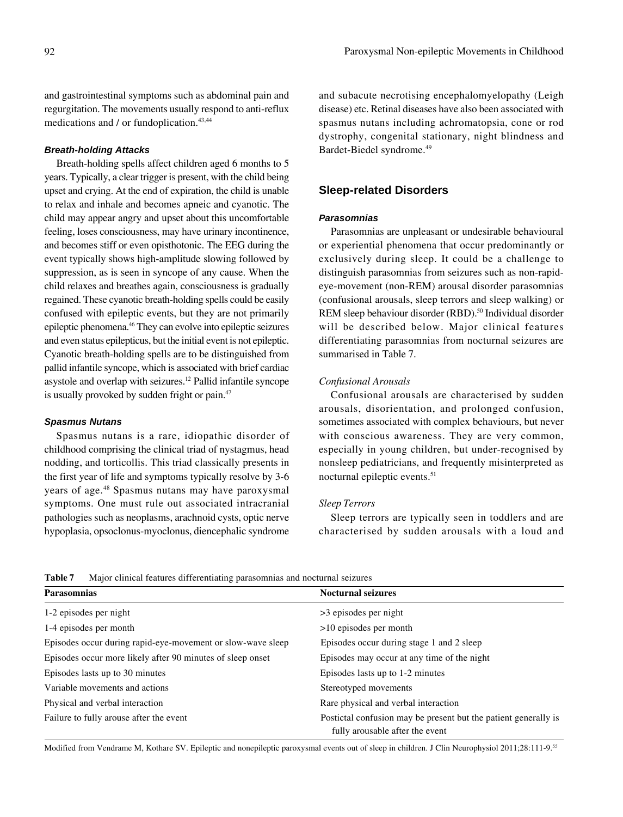and gastrointestinal symptoms such as abdominal pain and regurgitation. The movements usually respond to anti-reflux medications and / or fundoplication.<sup>43,44</sup>

### *Breath-holding Attacks*

Breath-holding spells affect children aged 6 months to 5 years. Typically, a clear trigger is present, with the child being upset and crying. At the end of expiration, the child is unable to relax and inhale and becomes apneic and cyanotic. The child may appear angry and upset about this uncomfortable feeling, loses consciousness, may have urinary incontinence, and becomes stiff or even opisthotonic. The EEG during the event typically shows high-amplitude slowing followed by suppression, as is seen in syncope of any cause. When the child relaxes and breathes again, consciousness is gradually regained. These cyanotic breath-holding spells could be easily confused with epileptic events, but they are not primarily epileptic phenomena.46 They can evolve into epileptic seizures and even status epilepticus, but the initial event is not epileptic. Cyanotic breath-holding spells are to be distinguished from pallid infantile syncope, which is associated with brief cardiac asystole and overlap with seizures.12 Pallid infantile syncope is usually provoked by sudden fright or pain.47

### *Spasmus Nutans*

Spasmus nutans is a rare, idiopathic disorder of childhood comprising the clinical triad of nystagmus, head nodding, and torticollis. This triad classically presents in the first year of life and symptoms typically resolve by 3-6 years of age.<sup>48</sup> Spasmus nutans may have paroxysmal symptoms. One must rule out associated intracranial pathologies such as neoplasms, arachnoid cysts, optic nerve hypoplasia, opsoclonus-myoclonus, diencephalic syndrome and subacute necrotising encephalomyelopathy (Leigh disease) etc. Retinal diseases have also been associated with spasmus nutans including achromatopsia, cone or rod dystrophy, congenital stationary, night blindness and Bardet-Biedel syndrome.49

# **Sleep-related Disorders**

# *Parasomnias*

Parasomnias are unpleasant or undesirable behavioural or experiential phenomena that occur predominantly or exclusively during sleep. It could be a challenge to distinguish parasomnias from seizures such as non-rapideye-movement (non-REM) arousal disorder parasomnias (confusional arousals, sleep terrors and sleep walking) or REM sleep behaviour disorder (RBD).<sup>50</sup> Individual disorder will be described below. Major clinical features differentiating parasomnias from nocturnal seizures are summarised in Table 7.

# *Confusional Arousals*

Confusional arousals are characterised by sudden arousals, disorientation, and prolonged confusion, sometimes associated with complex behaviours, but never with conscious awareness. They are very common, especially in young children, but under-recognised by nonsleep pediatricians, and frequently misinterpreted as nocturnal epileptic events.<sup>51</sup>

### *Sleep Terrors*

Sleep terrors are typically seen in toddlers and are characterised by sudden arousals with a loud and

**Table 7** Major clinical features differentiating parasomnias and nocturnal seizures

| <b>Parasomnias</b>                                          | <b>Nocturnal seizures</b>                                                                          |  |
|-------------------------------------------------------------|----------------------------------------------------------------------------------------------------|--|
| 1-2 episodes per night                                      | $>3$ episodes per night                                                                            |  |
| 1-4 episodes per month                                      | $>10$ episodes per month                                                                           |  |
| Episodes occur during rapid-eye-movement or slow-wave sleep | Episodes occur during stage 1 and 2 sleep                                                          |  |
| Episodes occur more likely after 90 minutes of sleep onset  | Episodes may occur at any time of the night                                                        |  |
| Episodes lasts up to 30 minutes                             | Episodes lasts up to 1-2 minutes                                                                   |  |
| Variable movements and actions                              | Stereotyped movements                                                                              |  |
| Physical and verbal interaction                             | Rare physical and verbal interaction                                                               |  |
| Failure to fully arouse after the event                     | Postictal confusion may be present but the patient generally is<br>fully arousable after the event |  |

Modified from Vendrame M, Kothare SV. Epileptic and nonepileptic paroxysmal events out of sleep in children. J Clin Neurophysiol 2011;28:111-9.55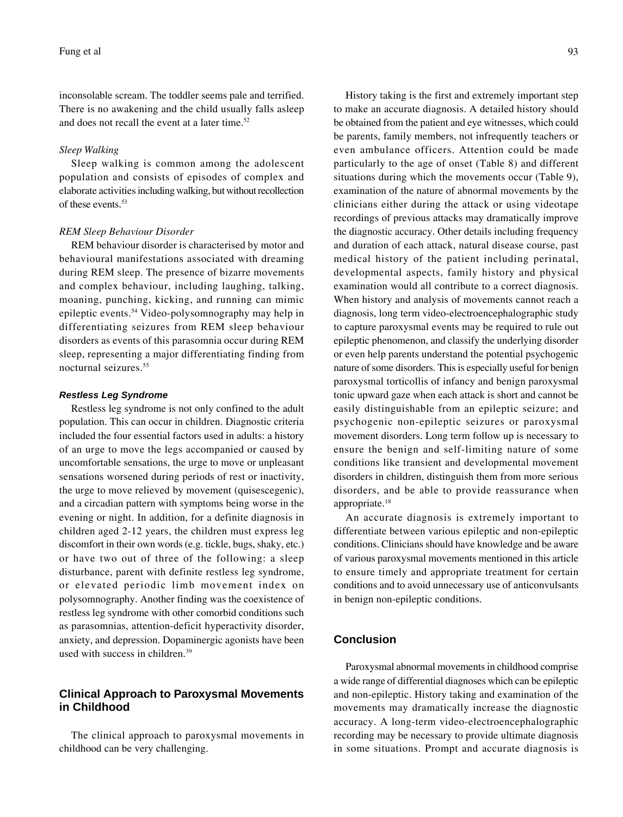inconsolable scream. The toddler seems pale and terrified. There is no awakening and the child usually falls asleep and does not recall the event at a later time.<sup>52</sup>

### *Sleep Walking*

Sleep walking is common among the adolescent population and consists of episodes of complex and elaborate activities including walking, but without recollection of these events.53

### *REM Sleep Behaviour Disorder*

REM behaviour disorder is characterised by motor and behavioural manifestations associated with dreaming during REM sleep. The presence of bizarre movements and complex behaviour, including laughing, talking, moaning, punching, kicking, and running can mimic epileptic events.54 Video-polysomnography may help in differentiating seizures from REM sleep behaviour disorders as events of this parasomnia occur during REM sleep, representing a major differentiating finding from nocturnal seizures.55

### *Restless Leg Syndrome*

Restless leg syndrome is not only confined to the adult population. This can occur in children. Diagnostic criteria included the four essential factors used in adults: a history of an urge to move the legs accompanied or caused by uncomfortable sensations, the urge to move or unpleasant sensations worsened during periods of rest or inactivity, the urge to move relieved by movement (quisescegenic), and a circadian pattern with symptoms being worse in the evening or night. In addition, for a definite diagnosis in children aged 2-12 years, the children must express leg discomfort in their own words (e.g. tickle, bugs, shaky, etc.) or have two out of three of the following: a sleep disturbance, parent with definite restless leg syndrome, or elevated periodic limb movement index on polysomnography. Another finding was the coexistence of restless leg syndrome with other comorbid conditions such as parasomnias, attention-deficit hyperactivity disorder, anxiety, and depression. Dopaminergic agonists have been used with success in children.39

# **Clinical Approach to Paroxysmal Movements in Childhood**

The clinical approach to paroxysmal movements in childhood can be very challenging.

History taking is the first and extremely important step to make an accurate diagnosis. A detailed history should be obtained from the patient and eye witnesses, which could be parents, family members, not infrequently teachers or even ambulance officers. Attention could be made particularly to the age of onset (Table 8) and different situations during which the movements occur (Table 9), examination of the nature of abnormal movements by the clinicians either during the attack or using videotape recordings of previous attacks may dramatically improve the diagnostic accuracy. Other details including frequency and duration of each attack, natural disease course, past medical history of the patient including perinatal, developmental aspects, family history and physical examination would all contribute to a correct diagnosis. When history and analysis of movements cannot reach a diagnosis, long term video-electroencephalographic study to capture paroxysmal events may be required to rule out epileptic phenomenon, and classify the underlying disorder or even help parents understand the potential psychogenic nature of some disorders. This is especially useful for benign paroxysmal torticollis of infancy and benign paroxysmal tonic upward gaze when each attack is short and cannot be easily distinguishable from an epileptic seizure; and psychogenic non-epileptic seizures or paroxysmal movement disorders. Long term follow up is necessary to ensure the benign and self-limiting nature of some conditions like transient and developmental movement disorders in children, distinguish them from more serious disorders, and be able to provide reassurance when appropriate.18

An accurate diagnosis is extremely important to differentiate between various epileptic and non-epileptic conditions. Clinicians should have knowledge and be aware of various paroxysmal movements mentioned in this article to ensure timely and appropriate treatment for certain conditions and to avoid unnecessary use of anticonvulsants in benign non-epileptic conditions.

# **Conclusion**

Paroxysmal abnormal movements in childhood comprise a wide range of differential diagnoses which can be epileptic and non-epileptic. History taking and examination of the movements may dramatically increase the diagnostic accuracy. A long-term video-electroencephalographic recording may be necessary to provide ultimate diagnosis in some situations. Prompt and accurate diagnosis is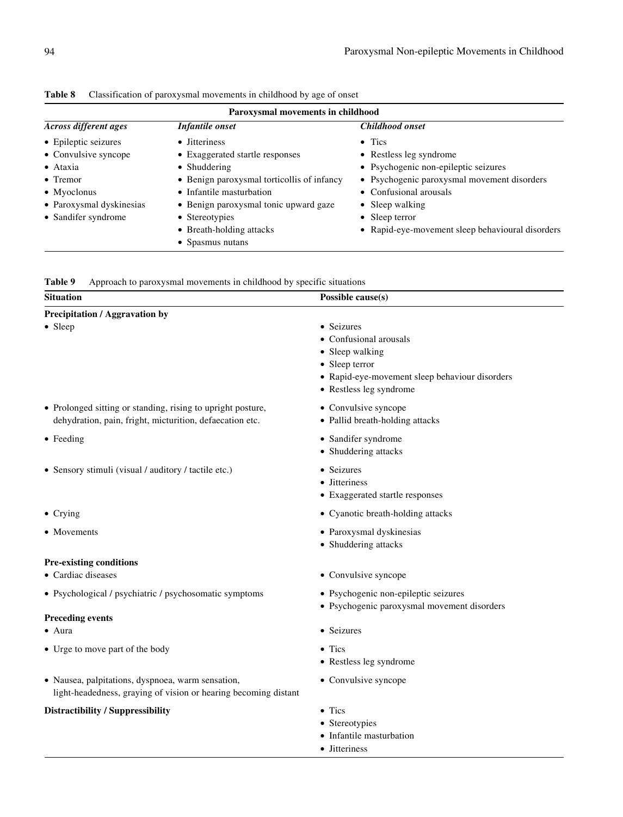| Paroxysmal movements in childhood |                                            |                                                  |  |
|-----------------------------------|--------------------------------------------|--------------------------------------------------|--|
| <b>Across different ages</b>      | Infantile onset                            | Childhood onset                                  |  |
| • Epileptic seizures              | • Jitteriness                              | $\bullet$ Tics                                   |  |
| • Convulsive syncope              | • Exaggerated startle responses            | • Restless leg syndrome                          |  |
| • Ataxia                          | • Shuddering                               | • Psychogenic non-epileptic seizures             |  |
| $\bullet$ Tremor                  | • Benign paroxysmal torticollis of infancy | • Psychogenic paroxysmal movement disorders      |  |
| • Myoclonus                       | • Infantile masturbation                   | • Confusional arousals                           |  |
| • Paroxysmal dyskinesias          | • Benign paroxysmal tonic upward gaze      | • Sleep walking                                  |  |
| • Sandifer syndrome               | • Stereotypies                             | • Sleep terror                                   |  |
|                                   | • Breath-holding attacks                   | • Rapid-eye-movement sleep behavioural disorders |  |
|                                   | • Spasmus nutans                           |                                                  |  |

| Table 8 |  | Classification of paroxysmal movements in childhood by age of onset |
|---------|--|---------------------------------------------------------------------|
|---------|--|---------------------------------------------------------------------|

| Table 9 |  |  |  |  | Approach to paroxysmal movements in childhood by specific situations |
|---------|--|--|--|--|----------------------------------------------------------------------|
|---------|--|--|--|--|----------------------------------------------------------------------|

| <b>Situation</b>                                                                                                        | Possible cause(s)                                                                                                                                      |  |  |
|-------------------------------------------------------------------------------------------------------------------------|--------------------------------------------------------------------------------------------------------------------------------------------------------|--|--|
| <b>Precipitation / Aggravation by</b>                                                                                   |                                                                                                                                                        |  |  |
| • Sleep                                                                                                                 | • Seizures<br>• Confusional arousals<br>• Sleep walking<br>• Sleep terror<br>• Rapid-eye-movement sleep behaviour disorders<br>• Restless leg syndrome |  |  |
| • Prolonged sitting or standing, rising to upright posture,<br>dehydration, pain, fright, micturition, defaecation etc. | • Convulsive syncope<br>• Pallid breath-holding attacks                                                                                                |  |  |
| $\bullet$ Feeding                                                                                                       | • Sandifer syndrome<br>• Shuddering attacks                                                                                                            |  |  |
| • Sensory stimuli (visual / auditory / tactile etc.)                                                                    | • Seizures<br>• Jitteriness<br>• Exaggerated startle responses                                                                                         |  |  |
| $\bullet$ Crying                                                                                                        | • Cyanotic breath-holding attacks                                                                                                                      |  |  |
| • Movements                                                                                                             | • Paroxysmal dyskinesias<br>• Shuddering attacks                                                                                                       |  |  |
| <b>Pre-existing conditions</b>                                                                                          |                                                                                                                                                        |  |  |
| • Cardiac diseases                                                                                                      | • Convulsive syncope                                                                                                                                   |  |  |
| • Psychological / psychiatric / psychosomatic symptoms                                                                  | • Psychogenic non-epileptic seizures<br>· Psychogenic paroxysmal movement disorders                                                                    |  |  |
| <b>Preceding events</b>                                                                                                 |                                                                                                                                                        |  |  |
| $\bullet$ Aura                                                                                                          | • Seizures                                                                                                                                             |  |  |
| • Urge to move part of the body                                                                                         | $\bullet$ Tics<br>• Restless leg syndrome                                                                                                              |  |  |
| · Nausea, palpitations, dyspnoea, warm sensation,<br>light-headedness, graying of vision or hearing becoming distant    | • Convulsive syncope                                                                                                                                   |  |  |
| <b>Distractibility / Suppressibility</b>                                                                                | $\bullet$ Tics<br>• Stereotypies<br>• Infantile masturbation                                                                                           |  |  |

• Jitteriness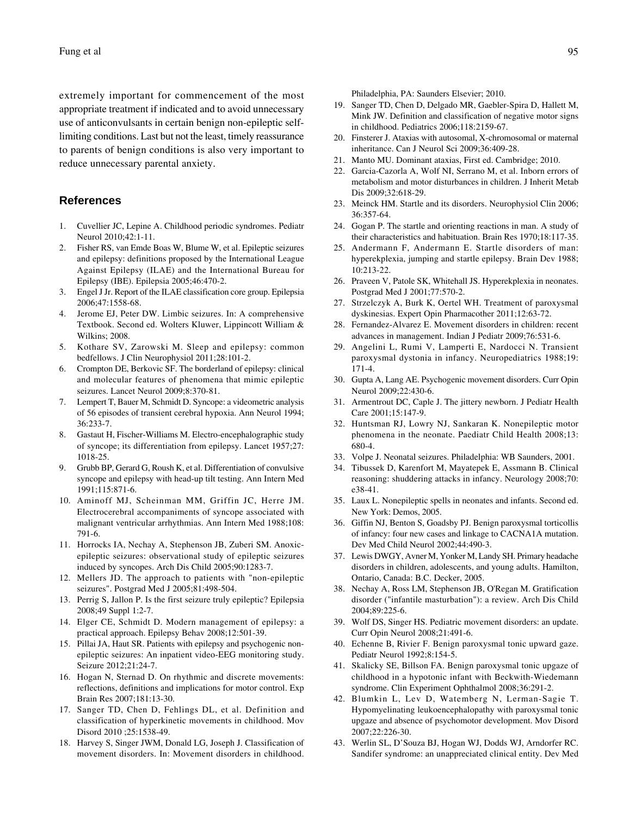extremely important for commencement of the most appropriate treatment if indicated and to avoid unnecessary use of anticonvulsants in certain benign non-epileptic selflimiting conditions. Last but not the least, timely reassurance to parents of benign conditions is also very important to reduce unnecessary parental anxiety.

# **References**

- 1. Cuvellier JC, Lepine A. Childhood periodic syndromes. Pediatr Neurol 2010;42:1-11.
- 2. Fisher RS, van Emde Boas W, Blume W, et al. Epileptic seizures and epilepsy: definitions proposed by the International League Against Epilepsy (ILAE) and the International Bureau for Epilepsy (IBE). Epilepsia 2005;46:470-2.
- 3. Engel J Jr. Report of the ILAE classification core group. Epilepsia 2006;47:1558-68.
- 4. Jerome EJ, Peter DW. Limbic seizures. In: A comprehensive Textbook. Second ed. Wolters Kluwer, Lippincott William & Wilkins; 2008.
- 5. Kothare SV, Zarowski M. Sleep and epilepsy: common bedfellows. J Clin Neurophysiol 2011;28:101-2.
- 6. Crompton DE, Berkovic SF. The borderland of epilepsy: clinical and molecular features of phenomena that mimic epileptic seizures. Lancet Neurol 2009;8:370-81.
- 7. Lempert T, Bauer M, Schmidt D. Syncope: a videometric analysis of 56 episodes of transient cerebral hypoxia. Ann Neurol 1994; 36:233-7.
- 8. Gastaut H, Fischer-Williams M. Electro-encephalographic study of syncope; its differentiation from epilepsy. Lancet 1957;27: 1018-25.
- 9. Grubb BP, Gerard G, Roush K, et al. Differentiation of convulsive syncope and epilepsy with head-up tilt testing. Ann Intern Med 1991;115:871-6.
- 10. Aminoff MJ, Scheinman MM, Griffin JC, Herre JM. Electrocerebral accompaniments of syncope associated with malignant ventricular arrhythmias. Ann Intern Med 1988;108: 791-6.
- 11. Horrocks IA, Nechay A, Stephenson JB, Zuberi SM. Anoxicepileptic seizures: observational study of epileptic seizures induced by syncopes. Arch Dis Child 2005;90:1283-7.
- 12. Mellers JD. The approach to patients with "non-epileptic seizures". Postgrad Med J 2005;81:498-504.
- 13. Perrig S, Jallon P. Is the first seizure truly epileptic? Epilepsia 2008;49 Suppl 1:2-7.
- 14. Elger CE, Schmidt D. Modern management of epilepsy: a practical approach. Epilepsy Behav 2008;12:501-39.
- 15. Pillai JA, Haut SR. Patients with epilepsy and psychogenic nonepileptic seizures: An inpatient video-EEG monitoring study. Seizure 2012;21:24-7.
- 16. Hogan N, Sternad D. On rhythmic and discrete movements: reflections, definitions and implications for motor control. Exp Brain Res 2007;181:13-30.
- 17. Sanger TD, Chen D, Fehlings DL, et al. Definition and classification of hyperkinetic movements in childhood. Mov Disord 2010 ;25:1538-49.
- 18. Harvey S, Singer JWM, Donald LG, Joseph J. Classification of movement disorders. In: Movement disorders in childhood.

Philadelphia, PA: Saunders Elsevier; 2010.

- 19. Sanger TD, Chen D, Delgado MR, Gaebler-Spira D, Hallett M, Mink JW. Definition and classification of negative motor signs in childhood. Pediatrics 2006;118:2159-67.
- 20. Finsterer J. Ataxias with autosomal, X-chromosomal or maternal inheritance. Can J Neurol Sci 2009;36:409-28.
- 21. Manto MU. Dominant ataxias, First ed. Cambridge; 2010.
- 22. Garcia-Cazorla A, Wolf NI, Serrano M, et al. Inborn errors of metabolism and motor disturbances in children. J Inherit Metab Dis 2009;32:618-29.
- 23. Meinck HM. Startle and its disorders. Neurophysiol Clin 2006; 36:357-64.
- 24. Gogan P. The startle and orienting reactions in man. A study of their characteristics and habituation. Brain Res 1970;18:117-35.
- 25. Andermann F, Andermann E. Startle disorders of man: hyperekplexia, jumping and startle epilepsy. Brain Dev 1988; 10:213-22.
- 26. Praveen V, Patole SK, Whitehall JS. Hyperekplexia in neonates. Postgrad Med J 2001;77:570-2.
- 27. Strzelczyk A, Burk K, Oertel WH. Treatment of paroxysmal dyskinesias. Expert Opin Pharmacother 2011;12:63-72.
- 28. Fernandez-Alvarez E. Movement disorders in children: recent advances in management. Indian J Pediatr 2009;76:531-6.
- 29. Angelini L, Rumi V, Lamperti E, Nardocci N. Transient paroxysmal dystonia in infancy. Neuropediatrics 1988;19: 171-4.
- 30. Gupta A, Lang AE. Psychogenic movement disorders. Curr Opin Neurol 2009;22:430-6.
- 31. Armentrout DC, Caple J. The jittery newborn. J Pediatr Health Care 2001;15:147-9.
- 32. Huntsman RJ, Lowry NJ, Sankaran K. Nonepileptic motor phenomena in the neonate. Paediatr Child Health 2008;13: 680-4.
- 33. Volpe J. Neonatal seizures. Philadelphia: WB Saunders, 2001.
- 34. Tibussek D, Karenfort M, Mayatepek E, Assmann B. Clinical reasoning: shuddering attacks in infancy. Neurology 2008;70: e38-41.
- 35. Laux L. Nonepileptic spells in neonates and infants. Second ed. New York: Demos, 2005.
- 36. Giffin NJ, Benton S, Goadsby PJ. Benign paroxysmal torticollis of infancy: four new cases and linkage to CACNA1A mutation. Dev Med Child Neurol 2002;44:490-3.
- 37. Lewis DWGY, Avner M, Yonker M, Landy SH. Primary headache disorders in children, adolescents, and young adults. Hamilton, Ontario, Canada: B.C. Decker, 2005.
- 38. Nechay A, Ross LM, Stephenson JB, O'Regan M. Gratification disorder ("infantile masturbation"): a review. Arch Dis Child 2004;89:225-6.
- 39. Wolf DS, Singer HS. Pediatric movement disorders: an update. Curr Opin Neurol 2008;21:491-6.
- 40. Echenne B, Rivier F. Benign paroxysmal tonic upward gaze. Pediatr Neurol 1992;8:154-5.
- 41. Skalicky SE, Billson FA. Benign paroxysmal tonic upgaze of childhood in a hypotonic infant with Beckwith-Wiedemann syndrome. Clin Experiment Ophthalmol 2008;36:291-2.
- 42. Blumkin L, Lev D, Watemberg N, Lerman-Sagie T. Hypomyelinating leukoencephalopathy with paroxysmal tonic upgaze and absence of psychomotor development. Mov Disord 2007;22:226-30.
- 43. Werlin SL, D'Souza BJ, Hogan WJ, Dodds WJ, Arndorfer RC. Sandifer syndrome: an unappreciated clinical entity. Dev Med